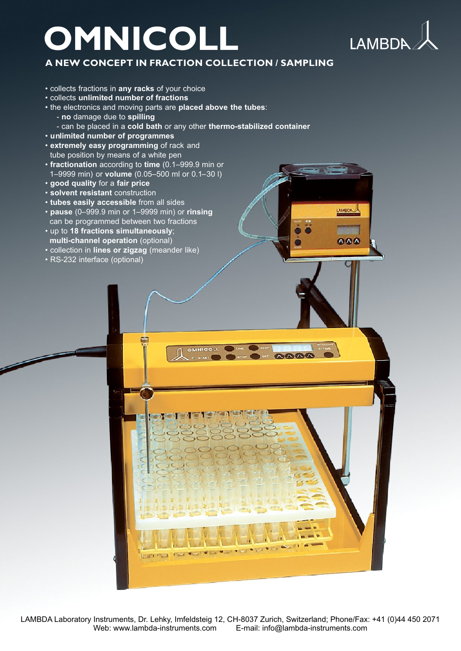# **OMNICOLL L**



**AMBOA** 

888

### **ANEW CON CEPT IN FRA CTION CO LLECTION/SAMPLING**

- collects fractions in **any racks** of your choice
- collects **unlimited number of fractions**
- the electronics and moving parts are **placed above the tubes**: - **no** damage due to **spilling**
	- can be placed in a **cold bath** or any other **thermo-stabilized container**
- **unlimited number of programmes**
- **extremely easy programming** of rack and tube position by means of a white pen
- **fractionation** according to **time** (0.1–999.9 min or 1–9999 min) or **volume** (0.05–500 ml or 0.1–30 l)
- **good quality** for a **fair price**
- **solvent resistant** construction
- **tubes easily accessible** from all sides
- **pause** (0–999.9 min or 1–9999 min) or **rinsing** can be programmed between two fractions
- up to **18 fractions simultaneously**;  **multi-channel operation** (optional)
- collection in **lines or zigzag** (meander like)
- RS-232 interface (optional)



**STEATE**